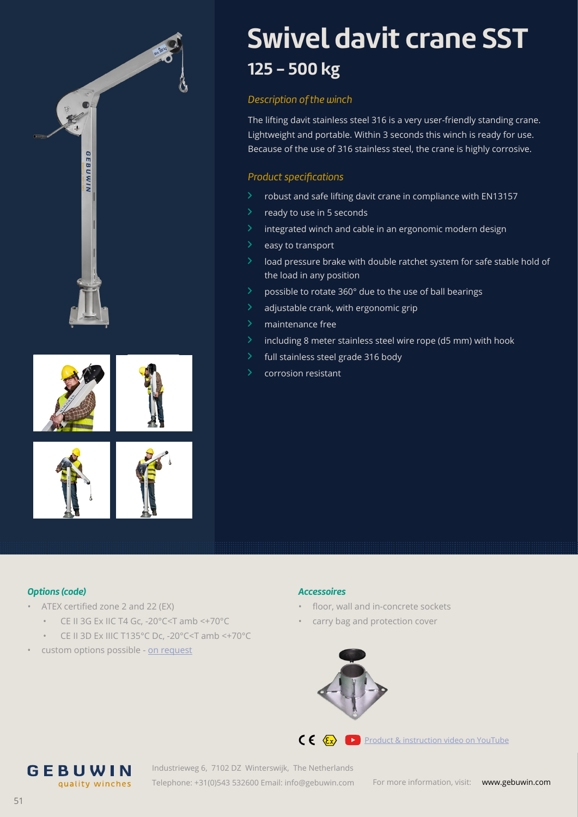

# **Swivel davit crane SST 125 - 500 kg**

#### *Description of the winch*

The lifting davit stainless steel 316 is a very user-friendly standing crane. Lightweight and portable. Within 3 seconds this winch is ready for use. Because of the use of 316 stainless steel, the crane is highly corrosive.

### *Product specifications*

- $\geq$  robust and safe lifting davit crane in compliance with EN13157
- $\ge$  ready to use in 5 seconds
- $\geq$  integrated winch and cable in an ergonomic modern design
- $\angle$  easy to transport
- $\geq$  load pressure brake with double ratchet system for safe stable hold of the load in any position
- $\geq$  possible to rotate 360 $^{\circ}$  due to the use of ball bearings
- $\lambda$  adjustable crank, with ergonomic grip
- $\lambda$  maintenance free
- $\geq$  including 8 meter stainless steel wire rope (d5 mm) with hook
- full stainless steel grade 316 body
- corrosion resistant

#### *Options (code)*

- ATEX certified zone 2 and 22 (EX)
	- CE II 3G Ex IIC T4 Gc, -20°C<T amb <+70°C
	- CE II 3D Ex IIIC T135°C Dc, -20°C<T amb <+70°C
- custom options possible - [on req](https://gebuwin.com/request-a-custom-product?utm_source=op%20aanvraag&utm_medium=brochure)uest

**GEBUWIN** 

quality winches

#### *Accessoires*

- floor, wall and in-concrete sockets
- carry bag and protection cover



**CE**  $\left\langle \xi_x \right\rangle$  [Product & instruction video on YouTube](https://www.youtube.com/watch?v=fqNfsBQYaFQ)

Industrieweg 6, 7102 DZ Winterswijk, The Netherlands